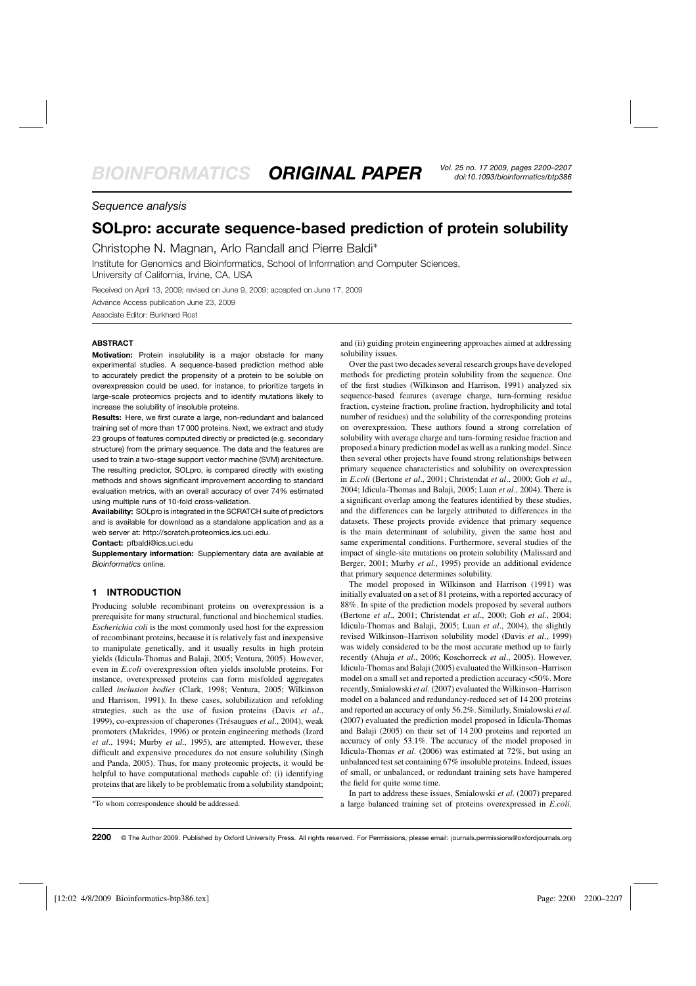## *Sequence analysis*

# **SOLpro: accurate sequence-based prediction of protein solubility**

Christophe N. Magnan, Arlo Randall and Pierre Baldi∗

Institute for Genomics and Bioinformatics, School of Information and Computer Sciences, University of California, Irvine, CA, USA

Received on April 13, 2009; revised on June 9, 2009; accepted on June 17, 2009

Advance Access publication June 23, 2009

Associate Editor: Burkhard Rost

## **ABSTRACT**

**Motivation:** Protein insolubility is a major obstacle for many experimental studies. A sequence-based prediction method able to accurately predict the propensity of a protein to be soluble on overexpression could be used, for instance, to prioritize targets in large-scale proteomics projects and to identify mutations likely to increase the solubility of insoluble proteins.

**Results:** Here, we first curate a large, non-redundant and balanced training set of more than 17 000 proteins. Next, we extract and study 23 groups of features computed directly or predicted (e.g. secondary structure) from the primary sequence. The data and the features are used to train a two-stage support vector machine (SVM) architecture. The resulting predictor, SOLpro, is compared directly with existing methods and shows significant improvement according to standard evaluation metrics, with an overall accuracy of over 74% estimated using multiple runs of 10-fold cross-validation.

**Availability:** SOLpro is integrated in the SCRATCH suite of predictors and is available for download as a standalone application and as a web server at: [http://scratch.proteomics.ics.uci.edu.](http://scratch.proteomics.ics.uci.edu)

**Contact:** pfbaldi@ics.uci.edu

**Supplementary information:** Supplementary data are available at *Bioinformatics* online.

## **1 INTRODUCTION**

Producing soluble recombinant proteins on overexpression is a prerequisite for many structural, functional and biochemical studies. *Escherichia coli* is the most commonly used host for the expression of recombinant proteins, because it is relatively fast and inexpensive to manipulate genetically, and it usually results in high protein yields (Idicula-Thomas and Balaji, 2005; Ventura, 2005). However, even in *E.coli* overexpression often yields insoluble proteins. For instance, overexpressed proteins can form misfolded aggregates called *inclusion bodies* (Clark, 1998; Ventura, 2005; Wilkinson and Harrison, 1991). In these cases, solubilization and refolding strategies, such as the use of fusion proteins (Davis *et al*., 1999), co-expression of chaperones (Trésaugues *et al*., 2004), weak promoters (Makrides, 1996) or protein engineering methods (Izard *et al*., 1994; Murby *et al*., 1995), are attempted. However, these difficult and expensive procedures do not ensure solubility (Singh and Panda, 2005). Thus, for many proteomic projects, it would be helpful to have computational methods capable of: (i) identifying proteins that are likely to be problematic from a solubility standpoint;

and (ii) guiding protein engineering approaches aimed at addressing solubility issues.

Over the past two decades several research groups have developed methods for predicting protein solubility from the sequence. One of the first studies (Wilkinson and Harrison, 1991) analyzed six sequence-based features (average charge, turn-forming residue fraction, cysteine fraction, proline fraction, hydrophilicity and total number of residues) and the solubility of the corresponding proteins on overexpression. These authors found a strong correlation of solubility with average charge and turn-forming residue fraction and proposed a binary prediction model as well as a ranking model. Since then several other projects have found strong relationships between primary sequence characteristics and solubility on overexpression in *E.coli* (Bertone *et al*., 2001; Christendat *et al*., 2000; Goh *et al*., 2004; Idicula-Thomas and Balaji, 2005; Luan *et al*., 2004). There is a significant overlap among the features identified by these studies, and the differences can be largely attributed to differences in the datasets. These projects provide evidence that primary sequence is the main determinant of solubility, given the same host and same experimental conditions. Furthermore, several studies of the impact of single-site mutations on protein solubility (Malissard and Berger, 2001; Murby *et al*., 1995) provide an additional evidence that primary sequence determines solubility.

The model proposed in Wilkinson and Harrison (1991) was initially evaluated on a set of 81 proteins, with a reported accuracy of 88%. In spite of the prediction models proposed by several authors (Bertone *et al*., 2001; Christendat *et al*., 2000; Goh *et al*., 2004; Idicula-Thomas and Balaji, 2005; Luan *et al*., 2004), the slightly revised Wilkinson–Harrison solubility model (Davis *et al*., 1999) was widely considered to be the most accurate method up to fairly recently (Ahuja *et al*., 2006; Koschorreck *et al*., 2005). However, Idicula-Thomas and Balaji (2005) evaluated the Wilkinson–Harrison model on a small set and reported a prediction accuracy <50%. More recently, Smialowski *et al*. (2007) evaluated the Wilkinson–Harrison model on a balanced and redundancy-reduced set of 14 200 proteins and reported an accuracy of only 56.2%. Similarly, Smialowski *et al*. (2007) evaluated the prediction model proposed in Idicula-Thomas and Balaji (2005) on their set of 14 200 proteins and reported an accuracy of only 53.1%. The accuracy of the model proposed in Idicula-Thomas *et al*. (2006) was estimated at 72%, but using an unbalanced test set containing 67% insoluble proteins. Indeed, issues of small, or unbalanced, or redundant training sets have hampered the field for quite some time.

In part to address these issues, Smialowski *et al*. (2007) prepared a large balanced training set of proteins overexpressed in *E.coli*.

<sup>∗</sup>To whom correspondence should be addressed.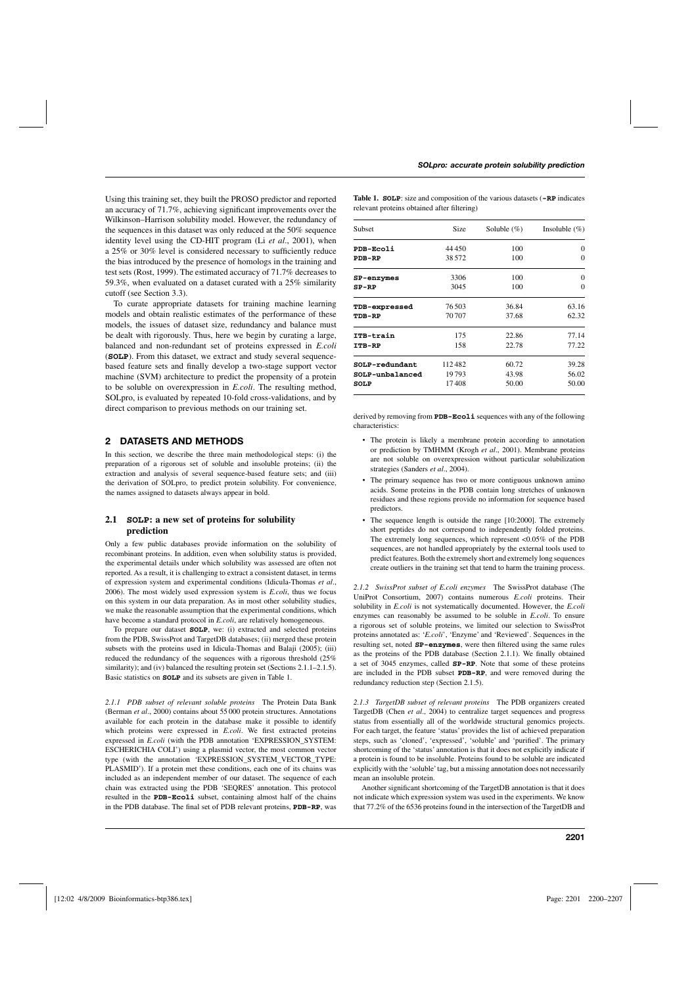Using this training set, they built the PROSO predictor and reported an accuracy of 71.7%, achieving significant improvements over the Wilkinson–Harrison solubility model. However, the redundancy of the sequences in this dataset was only reduced at the 50% sequence identity level using the CD-HIT program (Li *et al*., 2001), when a 25% or 30% level is considered necessary to sufficiently reduce the bias introduced by the presence of homologs in the training and test sets (Rost, 1999). The estimated accuracy of 71.7% decreases to 59.3%, when evaluated on a dataset curated with a 25% similarity cutoff (see Section 3.3).

To curate appropriate datasets for training machine learning models and obtain realistic estimates of the performance of these models, the issues of dataset size, redundancy and balance must be dealt with rigorously. Thus, here we begin by curating a large, balanced and non-redundant set of proteins expressed in *E.coli* (**SOLP**). From this dataset, we extract and study several sequencebased feature sets and finally develop a two-stage support vector machine (SVM) architecture to predict the propensity of a protein to be soluble on overexpression in *E.coli*. The resulting method, SOLpro, is evaluated by repeated 10-fold cross-validations, and by direct comparison to previous methods on our training set.

## **2 DATASETS AND METHODS**

In this section, we describe the three main methodological steps: (i) the preparation of a rigorous set of soluble and insoluble proteins; (ii) the extraction and analysis of several sequence-based feature sets; and (iii) the derivation of SOLpro, to predict protein solubility. For convenience, the names assigned to datasets always appear in bold.

## **2.1 SOLP: a new set of proteins for solubility prediction**

Only a few public databases provide information on the solubility of recombinant proteins. In addition, even when solubility status is provided, the experimental details under which solubility was assessed are often not reported. As a result, it is challenging to extract a consistent dataset, in terms of expression system and experimental conditions (Idicula-Thomas *et al*., 2006). The most widely used expression system is *E.coli*, thus we focus on this system in our data preparation. As in most other solubility studies, we make the reasonable assumption that the experimental conditions, which have become a standard protocol in *E.coli*, are relatively homogeneous.

To prepare our dataset **SOLP**, we: (i) extracted and selected proteins from the PDB, SwissProt and TargetDB databases; (ii) merged these protein subsets with the proteins used in Idicula-Thomas and Balaji (2005); (iii) reduced the redundancy of the sequences with a rigorous threshold (25% similarity); and (iv) balanced the resulting protein set (Sections 2.1.1–2.1.5). Basic statistics on **SOLP** and its subsets are given in Table 1.

*2.1.1 PDB subset of relevant soluble proteins* The Protein Data Bank (Berman *et al*., 2000) contains about 55 000 protein structures. Annotations available for each protein in the database make it possible to identify which proteins were expressed in *E.coli*. We first extracted proteins expressed in *E.coli* (with the PDB annotation 'EXPRESSION\_SYSTEM: ESCHERICHIA COLI') using a plasmid vector, the most common vector type (with the annotation 'EXPRESSION SYSTEM VECTOR TYPE: PLASMID'). If a protein met these conditions, each one of its chains was included as an independent member of our dataset. The sequence of each chain was extracted using the PDB 'SEQRES' annotation. This protocol resulted in the **PDB-Ecoli** subset, containing almost half of the chains in the PDB database. The final set of PDB relevant proteins, **PDB-RP**, was

**Table 1. SOLP**: size and composition of the various datasets (**-RP** indicates relevant proteins obtained after filtering)

| <b>Subset</b>   | Size   | Soluble $(\%)$ | Insoluble $(\% )$ |
|-----------------|--------|----------------|-------------------|
| PDB-Ecoli       | 44450  | 100            | $\Omega$          |
| <b>PDB-RP</b>   | 38.572 | 100            | $\Omega$          |
| SP-enzymes      | 3306   | 100            | $\Omega$          |
| $SP-RP$         | 3045   | 100            | $\Omega$          |
| TDB-expressed   | 76503  | 36.84          | 63.16             |
| TDB-RP          | 70707  | 37.68          | 62.32             |
| ITB-train       | 175    | 22.86          | 77.14             |
| <b>ITB-RP</b>   | 158    | 22.78          | 77.22             |
| SOLP-redundant  | 112482 | 60.72          | 39.28             |
| SOLP-unbalanced | 19793  | 43.98          | 56.02             |
| SOLP            | 17408  | 50.00          | 50.00             |

derived by removing from **PDB-Ecoli** sequences with any of the following characteristics:

- The protein is likely a membrane protein according to annotation or prediction by TMHMM (Krogh *et al*., 2001). Membrane proteins are not soluble on overexpression without particular solubilization strategies (Sanders *et al*., 2004).
- The primary sequence has two or more contiguous unknown amino acids. Some proteins in the PDB contain long stretches of unknown residues and these regions provide no information for sequence based predictors.
- The sequence length is outside the range [10:2000]. The extremely short peptides do not correspond to independently folded proteins. The extremely long sequences, which represent <0.05% of the PDB sequences, are not handled appropriately by the external tools used to predict features. Both the extremely short and extremely long sequences create outliers in the training set that tend to harm the training process.

*2.1.2 SwissProt subset of E.coli enzymes* The SwissProt database (The UniProt Consortium, 2007) contains numerous *E.coli* proteins. Their solubility in *E.coli* is not systematically documented. However, the *E.coli* enzymes can reasonably be assumed to be soluble in *E.coli*. To ensure a rigorous set of soluble proteins, we limited our selection to SwissProt proteins annotated as: '*E.coli*', 'Enzyme' and 'Reviewed'. Sequences in the resulting set, noted **SP-enzymes**, were then filtered using the same rules as the proteins of the PDB database (Section 2.1.1). We finally obtained a set of 3045 enzymes, called **SP-RP**. Note that some of these proteins are included in the PDB subset **PDB-RP**, and were removed during the redundancy reduction step (Section 2.1.5).

*2.1.3 TargetDB subset of relevant proteins* The PDB organizers created TargetDB (Chen *et al*., 2004) to centralize target sequences and progress status from essentially all of the worldwide structural genomics projects. For each target, the feature 'status' provides the list of achieved preparation steps, such as 'cloned', 'expressed', 'soluble' and 'purified'. The primary shortcoming of the 'status' annotation is that it does not explicitly indicate if a protein is found to be insoluble. Proteins found to be soluble are indicated explicitly with the 'soluble'tag, but a missing annotation does not necessarily mean an insoluble protein.

Another significant shortcoming of the TargetDB annotation is that it does not indicate which expression system was used in the experiments. We know that 77.2% of the 6536 proteins found in the intersection of the TargetDB and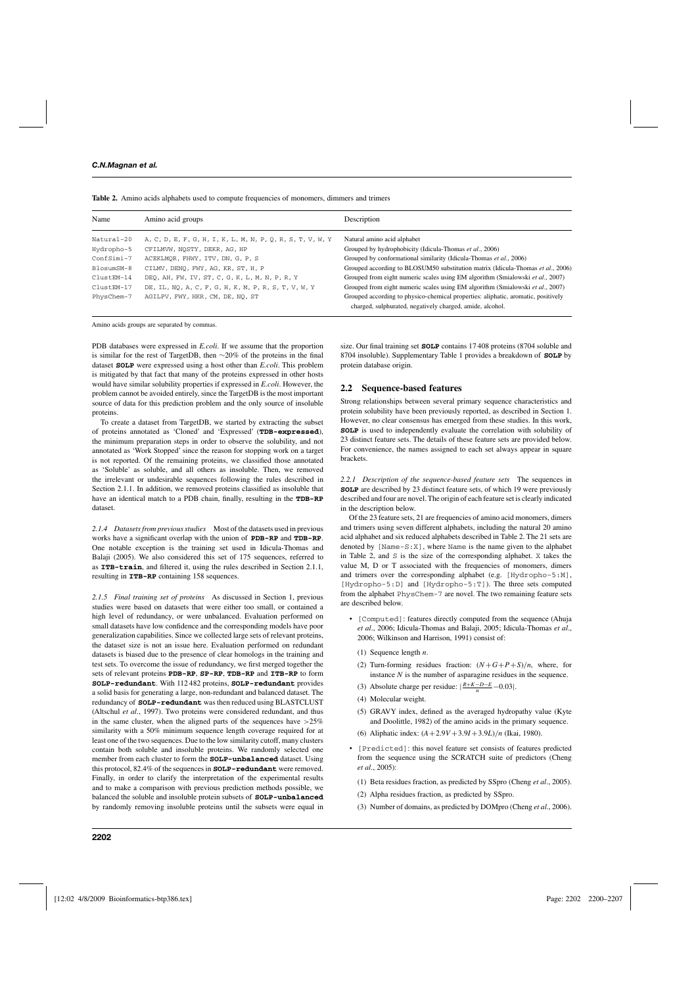| Name       | Amino acid groups                                          | Description                                                                       |
|------------|------------------------------------------------------------|-----------------------------------------------------------------------------------|
| Natural-20 | A, C, D, E, F, G, H, I, K, L, M, N, P, Q, R, S, T, V, W, Y | Natural amino acid alphabet                                                       |
| Hydropho-5 | CFILMVW, NOSTY, DEKR, AG, HP                               | Grouped by hydrophobicity (Idicula-Thomas et al., 2006)                           |
| ConfSimi-7 | ACEKLMOR, FHWY, ITV, DN, G, P, S                           | Grouped by conformational similarity (Idicula-Thomas et al., 2006)                |
| BlosumSM-8 | CILMV, DENO, FWY, AG, KR, ST, H, P                         | Grouped according to BLOSUM50 substitution matrix (Idicula-Thomas et al., 2006)   |
| ClustEM-14 | DEO, AH, FW, IV, ST, C, G, K, L, M, N, P, R, Y             | Grouped from eight numeric scales using EM algorithm (Smialowski et al., 2007)    |
| ClustEM-17 | DE, IL, NO, A, C, F, G, H, K, M, P, R, S, T, V, W, Y       | Grouped from eight numeric scales using EM algorithm (Smialowski et al., 2007)    |
| PhysChem-7 | AGILPV, FWY, HKR, CM, DE, NO, ST                           | Grouped according to physico-chemical properties: aliphatic, aromatic, positively |
|            |                                                            | charged, sulphurated, negatively charged, amide, alcohol.                         |

**Table 2.** Amino acids alphabets used to compute frequencies of monomers, dimmers and trimers

Amino acids groups are separated by commas.

PDB databases were expressed in *E.coli*. If we assume that the proportion is similar for the rest of TargetDB, then ∼20% of the proteins in the final dataset **SOLP** were expressed using a host other than *E.coli*. This problem is mitigated by that fact that many of the proteins expressed in other hosts would have similar solubility properties if expressed in *E.coli*. However, the problem cannot be avoided entirely, since the TargetDB is the most important source of data for this prediction problem and the only source of insoluble proteins.

To create a dataset from TargetDB, we started by extracting the subset of proteins annotated as 'Cloned' and 'Expressed' (**TDB-expressed**), the minimum preparation steps in order to observe the solubility, and not annotated as 'Work Stopped' since the reason for stopping work on a target is not reported. Of the remaining proteins, we classified those annotated as 'Soluble' as soluble, and all others as insoluble. Then, we removed the irrelevant or undesirable sequences following the rules described in Section 2.1.1. In addition, we removed proteins classified as insoluble that have an identical match to a PDB chain, finally, resulting in the **TDB-RP** dataset.

*2.1.4 Datasets from previous studies* Most of the datasets used in previous works have a significant overlap with the union of **PDB-RP** and **TDB-RP**. One notable exception is the training set used in Idicula-Thomas and Balaji (2005). We also considered this set of 175 sequences, referred to as **ITB-train**, and filtered it, using the rules described in Section 2.1.1, resulting in **ITB-RP** containing 158 sequences.

*2.1.5 Final training set of proteins* As discussed in Section 1, previous studies were based on datasets that were either too small, or contained a high level of redundancy, or were unbalanced. Evaluation performed on small datasets have low confidence and the corresponding models have poor generalization capabilities. Since we collected large sets of relevant proteins, the dataset size is not an issue here. Evaluation performed on redundant datasets is biased due to the presence of clear homologs in the training and test sets. To overcome the issue of redundancy, we first merged together the sets of relevant proteins **PDB-RP**, **SP-RP**, **TDB-RP** and **ITB-RP** to form **SOLP-redundant**. With 112 482 proteins, **SOLP-redundant** provides a solid basis for generating a large, non-redundant and balanced dataset. The redundancy of **SOLP-redundant** was then reduced using BLASTCLUST (Altschul *et al*., 1997). Two proteins were considered redundant, and thus in the same cluster, when the aligned parts of the sequences have  $>25\%$ similarity with a 50% minimum sequence length coverage required for at least one of the two sequences. Due to the low similarity cutoff, many clusters contain both soluble and insoluble proteins. We randomly selected one member from each cluster to form the **SOLP-unbalanced** dataset. Using this protocol, 82.4% of the sequences in **SOLP-redundant** were removed. Finally, in order to clarify the interpretation of the experimental results and to make a comparison with previous prediction methods possible, we balanced the soluble and insoluble protein subsets of **SOLP-unbalanced** by randomly removing insoluble proteins until the subsets were equal in

size. Our final training set **SOLP** contains 17 408 proteins (8704 soluble and 8704 insoluble). Supplementary Table 1 provides a breakdown of **SOLP** by protein database origin.

#### **2.2 Sequence-based features**

Strong relationships between several primary sequence characteristics and protein solubility have been previously reported, as described in Section 1. However, no clear consensus has emerged from these studies. In this work, **SOLP** is used to independently evaluate the correlation with solubility of 23 distinct feature sets. The details of these feature sets are provided below. For convenience, the names assigned to each set always appear in square brackets.

*2.2.1 Description of the sequence-based feature sets* The sequences in **SOLP** are described by 23 distinct feature sets, of which 19 were previously described and four are novel. The origin of each feature set is clearly indicated in the description below.

Of the 23 feature sets, 21 are frequencies of amino acid monomers, dimers and trimers using seven different alphabets, including the natural 20 amino acid alphabet and six reduced alphabets described in Table 2. The 21 sets are denoted by [Name-S:X], where Name is the name given to the alphabet in Table 2, and S is the size of the corresponding alphabet. X takes the value M, D or T associated with the frequencies of monomers, dimers and trimers over the corresponding alphabet (e.g. [Hydropho-5:M], [Hydropho-5:D] and [Hydropho-5:T]). The three sets computed from the alphabet PhysChem-7 are novel. The two remaining feature sets are described below.

- [Computed]: features directly computed from the sequence (Ahuja *et al*., 2006; Idicula-Thomas and Balaji, 2005; Idicula-Thomas *et al*., 2006; Wilkinson and Harrison, 1991) consist of:
	- (1) Sequence length *n*.
	- (2) Turn-forming residues fraction:  $(N+G+P+S)/n$ , where, for instance *N* is the number of asparagine residues in the sequence.
	- (3) Absolute charge per residue:  $\left| \frac{R + K D E}{n} 0.03 \right|$ .
	- (4) Molecular weight.
	- (5) GRAVY index, defined as the averaged hydropathy value (Kyte and Doolittle, 1982) of the amino acids in the primary sequence.
	- (6) Aliphatic index: (*A*+2.9*V* +3.9*I* +3.9*L*)/*n* (Ikai, 1980).
- [Predicted]: this novel feature set consists of features predicted from the sequence using the SCRATCH suite of predictors (Cheng *et al*., 2005):
	- (1) Beta residues fraction, as predicted by SSpro (Cheng *et al*., 2005).
	- (2) Alpha residues fraction, as predicted by SSpro.
	- (3) Number of domains, as predicted by DOMpro (Cheng *et al*., 2006).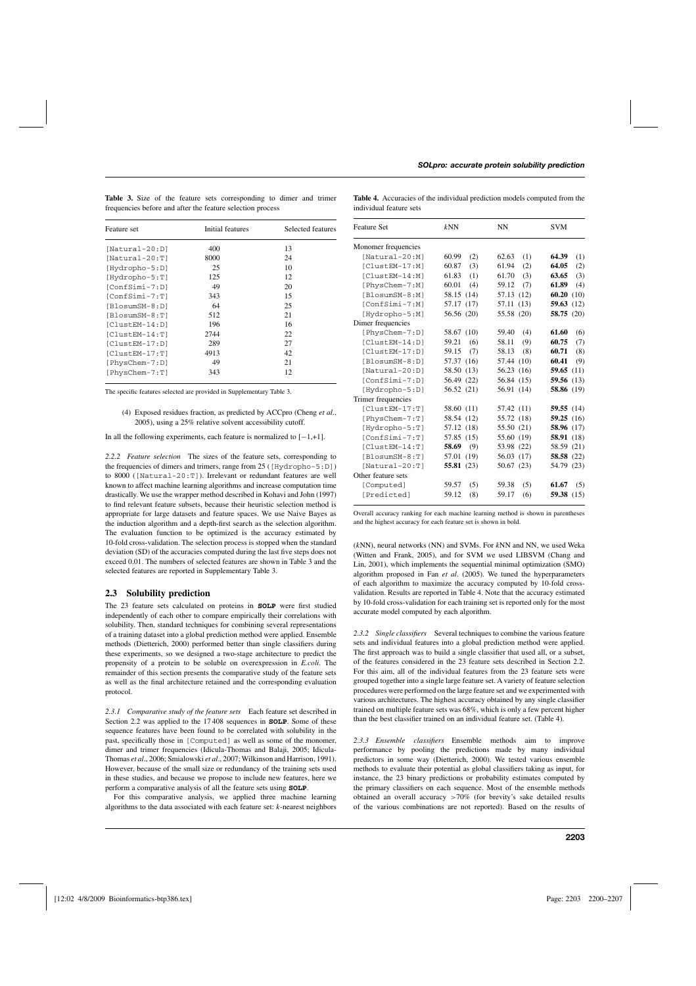| Feature set        | Initial features | Selected features |  |
|--------------------|------------------|-------------------|--|
| $[Natural-20:D]$   | 400              | 13                |  |
| $[Natural-20:T]$   | 8000             | 24                |  |
| [Hydropho-5:D]     | 25               | 10                |  |
| [Hydropho-5:T]     | 125              | 12                |  |
| $[ConfSimi-7:D]$   | 49               | 20                |  |
| $[ConfSimi-7:T]$   | 343              | 15                |  |
| [BlosumSM-8:D]     | 64               | 25                |  |
| $[BlosumSM-8:T]$   | 512              | 21                |  |
| $[ClusterM-14:D]$  | 196              | 16                |  |
| $[Cluster-M-14:T]$ | 2744             | 22                |  |
| $[Cluster-M-17:D]$ | 289              | 27                |  |
| $[Cluster-M-17:T]$ | 4913             | 42                |  |
| [PhysChem-7:D]     | 49               | 21                |  |
| [PhysChem-7:T]     | 343              | 12                |  |

**Table 3.** Size of the feature sets corresponding to dimer and trimer frequencies before and after the feature selection process

**Table 4.** Accuracies of the individual prediction models computed from the individual feature sets

| The specific features selected are provided in Supplementary Table 3. |  |  |  |
|-----------------------------------------------------------------------|--|--|--|
|-----------------------------------------------------------------------|--|--|--|

(4) Exposed residues fraction, as predicted by ACCpro (Cheng *et al*., 2005), using a 25% relative solvent accessibility cutoff.

In all the following experiments, each feature is normalized to  $[-1, +1]$ .

*2.2.2 Feature selection* The sizes of the feature sets, corresponding to the frequencies of dimers and trimers, range from 25 ([Hydropho-5:D]) to 8000 ([Natural-20:T]). Irrelevant or redundant features are well known to affect machine learning algorithms and increase computation time drastically. We use the wrapper method described in Kohavi and John (1997) to find relevant feature subsets, because their heuristic selection method is appropriate for large datasets and feature spaces. We use Naive Bayes as the induction algorithm and a depth-first search as the selection algorithm. The evaluation function to be optimized is the accuracy estimated by 10-fold cross-validation. The selection process is stopped when the standard deviation (SD) of the accuracies computed during the last five steps does not exceed 0.01. The numbers of selected features are shown in Table 3 and the selected features are reported in Supplementary Table 3.

#### **2.3 Solubility prediction**

The 23 feature sets calculated on proteins in **SOLP** were first studied independently of each other to compare empirically their correlations with solubility. Then, standard techniques for combining several representations of a training dataset into a global prediction method were applied. Ensemble methods (Dietterich, 2000) performed better than single classifiers during these experiments, so we designed a two-stage architecture to predict the propensity of a protein to be soluble on overexpression in *E.coli*. The remainder of this section presents the comparative study of the feature sets as well as the final architecture retained and the corresponding evaluation protocol.

*2.3.1 Comparative study of the feature sets* Each feature set described in Section 2.2 was applied to the 17 408 sequences in **SOLP**. Some of these sequence features have been found to be correlated with solubility in the past, specifically those in [Computed] as well as some of the monomer, dimer and trimer frequencies (Idicula-Thomas and Balaji, 2005; Idicula-Thomas *et al*., 2006; Smialowski *et al*., 2007; Wilkinson and Harrison, 1991). However, because of the small size or redundancy of the training sets used in these studies, and because we propose to include new features, here we perform a comparative analysis of all the feature sets using **SOLP**.

For this comparative analysis, we applied three machine learning algorithms to the data associated with each feature set: *k*-nearest neighbors

| <b>Feature Set</b>  | kNN          | NN            | <b>SVM</b>        |
|---------------------|--------------|---------------|-------------------|
| Monomer frequencies |              |               |                   |
| $[Natural-20:M]$    | 60.99<br>(2) | (1)<br>62.63  | 64.39<br>(1)      |
| [ClustEM-17:M]      | (3)<br>60.87 | 61.94<br>(2)  | 64.05<br>(2)      |
| [ClustEM-14:M]      | 61.83<br>(1) | 61.70<br>(3)  | 63.65<br>(3)      |
| [PhysChem-7:M]      | 60.01<br>(4) | 59.12<br>(7)  | 61.89<br>(4)      |
| [BlosumSM-8:M]      | 58.15 (14)   | 57.13 (12)    | 60.20<br>(10)     |
| [ConfSimi-7:M]      | 57.17 (17)   | 57.11<br>(13) | 59.63<br>(12)     |
| [Hydropho-5:M]      | 56.56 (20)   | 55.58 (20)    | 58.75 $(20)$      |
| Dimer frequencies   |              |               |                   |
| [PhysChem-7:D]      | 58.67 (10)   | (4)<br>59.40  | 61.60<br>(6)      |
| [ClustEM-14:D]      | 59.21<br>(6) | (9)<br>58.11  | 60.75<br>(7)      |
| [ClustEM-17:D]      | 59.15<br>(7) | (8)<br>58.13  | 60.71<br>(8)      |
| $[BlosumSM-8:D]$    | 57.37 (16)   | 57.44 (10)    | 60.41<br>(9)      |
| $[Natural-20:D]$    | 58.50 (13)   | 56.23 (16)    | 59.65 $(11)$      |
| [ConfSimi-7:D]      | 56.49 (22)   | 56.84 (15)    | 59.56 $(13)$      |
| [Hydropho-5:D]      | 56.52 (21)   | 56.91 (14)    | <b>58.86</b> (19) |
| Trimer frequencies  |              |               |                   |
| $[Cluster-17:T]$    | 58.60 (11)   | 57.42 (11)    | 59.55 $(14)$      |
| [PhysChem-7:T]      | 58.54 (12)   | 55.72 (18)    | 59.25 $(16)$      |
| [Hydropho-5:T]      | 57.12 (18)   | 55.50 (21)    | 58.96 (17)        |
| [ConfSimi-7:T]      | 57.85 (15)   | 55.60 (19)    | 58.91 (18)        |
| $[Cluster-14:T]$    | 58.69<br>(9) | 53.98 (22)    | 58.59 (21)        |
| $[BlosumSM-8:T]$    | 57.01 (19)   | 56.03 (17)    | 58.58 (22)        |
| $[Natural-20:T]$    | 55.81 $(23)$ | 50.67 (23)    | 54.79 (23)        |
| Other feature sets  |              |               |                   |
| [Computed]          | 59.57<br>(5) | 59.38<br>(5)  | 61.67<br>(5)      |
| [Predicted]         | (8)<br>59.12 | (6)<br>59.17  | 59.38 $(15)$      |

Overall accuracy ranking for each machine learning method is shown in parentheses and the highest accuracy for each feature set is shown in bold.

(*k*NN), neural networks (NN) and SVMs. For *k*NN and NN, we used Weka (Witten and Frank, 2005), and for SVM we used LIBSVM (Chang and Lin, 2001), which implements the sequential minimal optimization (SMO) algorithm proposed in Fan *et al*. (2005). We tuned the hyperparameters of each algorithm to maximize the accuracy computed by 10-fold crossvalidation. Results are reported in Table 4. Note that the accuracy estimated by 10-fold cross-validation for each training set is reported only for the most accurate model computed by each algorithm.

*2.3.2 Single classifiers* Several techniques to combine the various feature sets and individual features into a global prediction method were applied. The first approach was to build a single classifier that used all, or a subset, of the features considered in the 23 feature sets described in Section 2.2. For this aim, all of the individual features from the 23 feature sets were grouped together into a single large feature set. A variety of feature selection procedures were performed on the large feature set and we experimented with various architectures. The highest accuracy obtained by any single classifier trained on multiple feature sets was 68%, which is only a few percent higher than the best classifier trained on an individual feature set. (Table 4).

*2.3.3 Ensemble classifiers* Ensemble methods aim to improve performance by pooling the predictions made by many individual predictors in some way (Dietterich, 2000). We tested various ensemble methods to evaluate their potential as global classifiers taking as input, for instance, the 23 binary predictions or probability estimates computed by the primary classifiers on each sequence. Most of the ensemble methods obtained an overall accuracy >70% (for brevity's sake detailed results of the various combinations are not reported). Based on the results of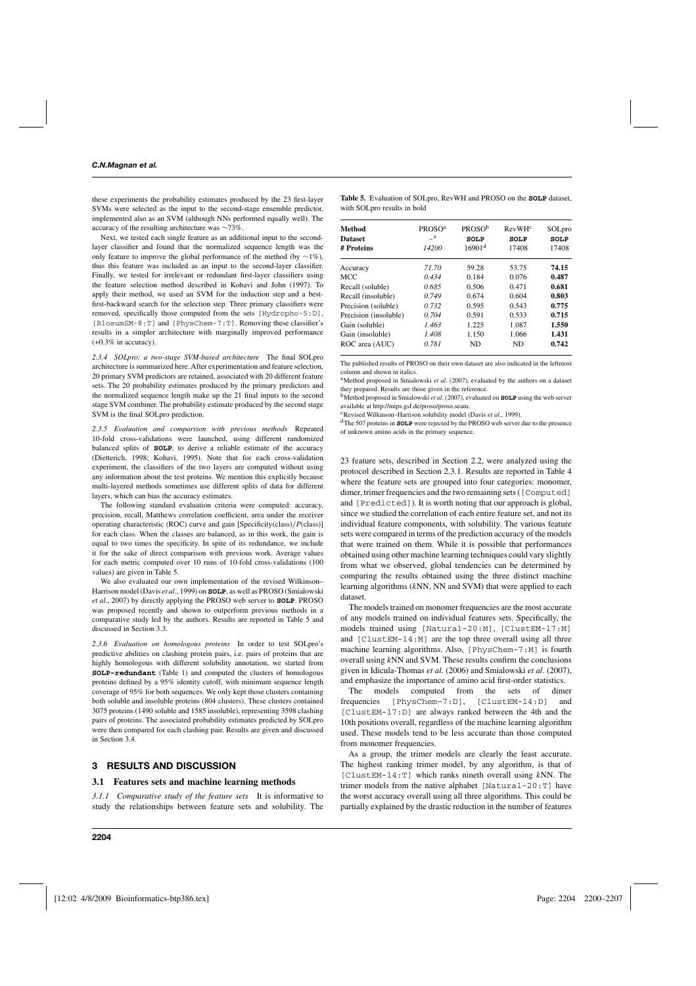these experiments the probability estimates produced by the 23 first-layer SVMs were selected as the input to the second-stage ensemble predictor, implemented also as an SVM (although NNs performed equally well). The accuracy of the resulting architecture was ∼73%.

Next, we tested each single feature as an additional input to the secondlayer classifier and found that the normalized sequence length was the only feature to improve the global performance of the method (by  $\sim$ 1%), thus this feature was included as an input to the second-layer classifier. Finally, we tested for irrelevant or redundant first-layer classifiers using the feature selection method described in Kohavi and John (1997). To apply their method, we used an SVM for the induction step and a bestfirst-backward search for the selection step. Three primary classifiers were removed, specifically those computed from the sets [Hydropho-5:D], [BlosumSM-8:T] and [PhysChem-7:T]. Removing these classifier's results in a simpler architecture with marginally improved performance  $(+0.3\%$  in accuracy).

*2.3.4 SOLpro: a two-stage SVM-based architecture* The final SOLpro architecture is summarized here. After experimentation and feature selection, 20 primary SVM predictors are retained, associated with 20 different feature sets. The 20 probability estimates produced by the primary predictors and the normalized sequence length make up the 21 final inputs to the second stage SVM combiner. The probability estimate produced by the second stage SVM is the final SOLpro prediction.

*2.3.5 Evaluation and comparison with previous methods* Repeated 10-fold cross-validations were launched, using different randomized balanced splits of **SOLP**, to derive a reliable estimate of the accuracy (Dietterich, 1998; Kohavi, 1995). Note that for each cross-validation experiment, the classifiers of the two layers are computed without using any information about the test proteins. We mention this explicitly because multi-layered methods sometimes use different splits of data for different layers, which can bias the accuracy estimates.

The following standard evaluation criteria were computed: accuracy, precision, recall, Matthews correlation coefficient, area under the receiver operating characteristic (ROC) curve and gain [Specificity(class)/*P*(class)] for each class. When the classes are balanced, as in this work, the gain is equal to two times the specificity. In spite of its redundance, we include it for the sake of direct comparison with previous work. Average values for each metric computed over 10 runs of 10-fold cross-validations (100 values) are given in Table 5.

We also evaluated our own implementation of the revised Wilkinson– Harrison model (Davis *et al*., 1999) on **SOLP**, as well as PROSO (Smialowski *et al*., 2007) by directly applying the PROSO web server to **SOLP**. PROSO was proposed recently and shown to outperform previous methods in a comparative study led by the authors. Results are reported in Table 5 and discussed in Section 3.3.

*2.3.6 Evaluation on homologous proteins* In order to test SOLpro's predictive abilities on clashing protein pairs, i.e. pairs of proteins that are highly homologous with different solubility annotation, we started from **SOLP-redundant** (Table 1) and computed the clusters of homologous proteins defined by a 95% identity cutoff, with minimum sequence length coverage of 95% for both sequences. We only kept those clusters containing both soluble and insoluble proteins (804 clusters). These clusters contained 3075 proteins (1490 soluble and 1585 insoluble), representing 3598 clashing pairs of proteins. The associated probability estimates predicted by SOLpro were then compared for each clashing pair. Results are given and discussed in Section 3.4.

## **3 RESULTS AND DISCUSSION**

#### **3.1 Features sets and machine learning methods**

*3.1.1 Comparative study of the feature sets* It is informative to study the relationships between feature sets and solubility. The

| <b>Method</b>         | PROSO <sup>a</sup> | <b>PROSO</b> <sup>b</sup> | $R$ evW $Hc$ | SOLpro      |
|-----------------------|--------------------|---------------------------|--------------|-------------|
| <b>Dataset</b>        | a                  | <b>SOLP</b>               | SOLP         | <b>SOLP</b> |
| # Proteins            | 14200              | 16901 <sup>d</sup>        | 17408        | 17408       |
| Accuracy              | 71.70              | 59.28                     | 53.75        | 74.15       |
| <b>MCC</b>            | 0.434              | 0.184                     | 0.076        | 0.487       |
| Recall (soluble)      | 0.685              | 0.506                     | 0.471        | 0.681       |
| Recall (insoluble)    | 0.749              | 0.674                     | 0.604        | 0.803       |
| Precision (soluble)   | 0.732              | 0.595                     | 0.543        | 0.775       |
| Precision (insoluble) | 0.704              | 0.591                     | 0.533        | 0.715       |
| Gain (soluble)        | 1.463              | 1.225                     | 1.087        | 1.550       |
| Gain (insoluble)      | 1.408              | 1.150                     | 1.066        | 1.431       |
| ROC area (AUC)        | 0.781              | <b>ND</b>                 | ND.          | 0.742       |

The published results of PROSO on their own dataset are also indicated in the leftmost column and shown in italics.

<sup>a</sup>Method proposed in Smialowski et al. (2007), evaluated by the authors on a dataset they prepared. Results are those given in the reference.

bMethod proposed in Smialowski *et al*. (2007), evaluated on **SOLP** using the web server available at [http://mips.gsf.de/proso/proso.seam.](http://mips.gsf.de/proso/proso.seam)

cRevised Wilkinson–Harrison solubility model (Davis *et al*., 1999).

dThe 507 proteins in **SOLP** were rejected by the PROSO web server due to the presence of unknown amino acids in the primary sequence.

23 feature sets, described in Section 2.2, were analyzed using the protocol described in Section 2.3.1. Results are reported in Table 4 where the feature sets are grouped into four categories: monomer, dimer, trimer frequencies and the two remaining sets ([Computed] and [Predicted]). It is worth noting that our approach is global, since we studied the correlation of each entire feature set, and not its individual feature components, with solubility. The various feature sets were compared in terms of the prediction accuracy of the models that were trained on them. While it is possible that performances obtained using other machine learning techniques could vary slightly from what we observed, global tendencies can be determined by comparing the results obtained using the three distinct machine learning algorithms (*k*NN, NN and SVM) that were applied to each dataset.

The models trained on monomer frequencies are the most accurate of any models trained on individual features sets. Specifically, the models trained using [Natural-20:M], [ClustEM-17:M] and [ClustEM-14:M] are the top three overall using all three machine learning algorithms. Also, [PhysChem-7:M] is fourth overall using *k*NN and SVM. These results confirm the conclusions given in Idicula-Thomas *et al*. (2006) and Smialowski *et al*. (2007), and emphasize the importance of amino acid first-order statistics.

The models computed from the sets of dimer frequencies [PhysChem-7:D], [ClustEM-14:D] and [ClustEM-17:D] are always ranked between the 4th and the 10th positions overall, regardless of the machine learning algorithm used. These models tend to be less accurate than those computed from monomer frequencies.

As a group, the trimer models are clearly the least accurate. The highest ranking trimer model, by any algorithm, is that of [ClustEM-14:T] which ranks nineth overall using *k*NN. The trimer models from the native alphabet [Natural-20:T] have the worst accuracy overall using all three algorithms. This could be partially explained by the drastic reduction in the number of features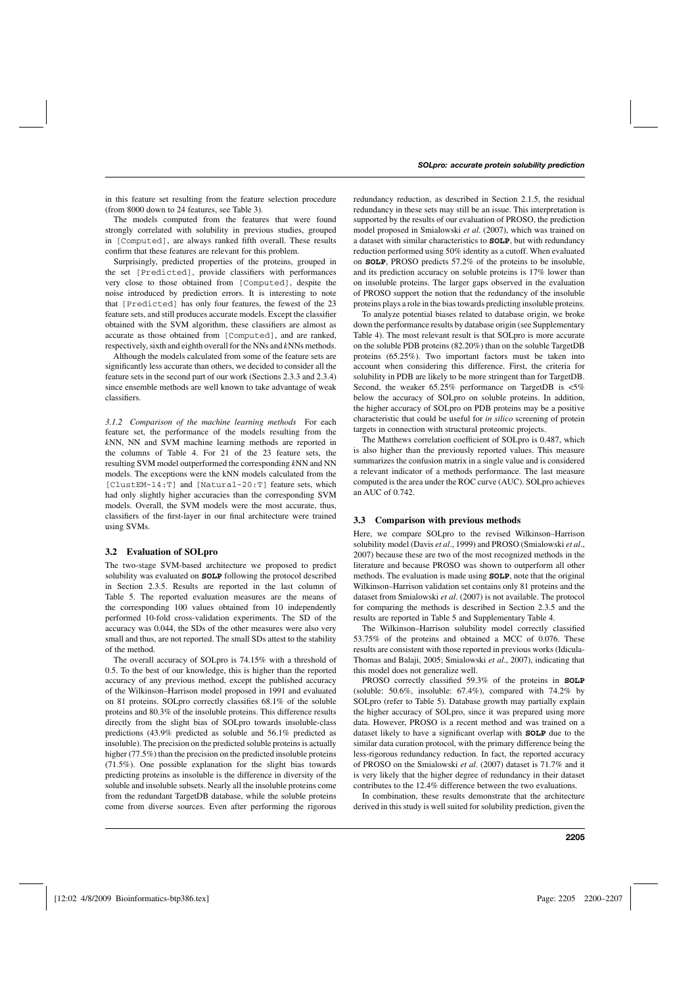in this feature set resulting from the feature selection procedure (from 8000 down to 24 features, see Table 3).

The models computed from the features that were found strongly correlated with solubility in previous studies, grouped in [Computed], are always ranked fifth overall. These results confirm that these features are relevant for this problem.

Surprisingly, predicted properties of the proteins, grouped in the set [Predicted], provide classifiers with performances very close to those obtained from [Computed], despite the noise introduced by prediction errors. It is interesting to note that [Predicted] has only four features, the fewest of the 23 feature sets, and still produces accurate models. Except the classifier obtained with the SVM algorithm, these classifiers are almost as accurate as those obtained from [Computed], and are ranked, respectively, sixth and eighth overall for the NNs and *k*NNs methods.

Although the models calculated from some of the feature sets are significantly less accurate than others, we decided to consider all the feature sets in the second part of our work (Sections 2.3.3 and 2.3.4) since ensemble methods are well known to take advantage of weak classifiers.

*3.1.2 Comparison of the machine learning methods* For each feature set, the performance of the models resulting from the *k*NN, NN and SVM machine learning methods are reported in the columns of Table 4. For 21 of the 23 feature sets, the resulting SVM model outperformed the corresponding *k*NN and NN models. The exceptions were the kNN models calculated from the [ClustEM-14:T] and [Natural-20:T] feature sets, which had only slightly higher accuracies than the corresponding SVM models. Overall, the SVM models were the most accurate, thus, classifiers of the first-layer in our final architecture were trained using SVMs.

### **3.2 Evaluation of SOLpro**

The two-stage SVM-based architecture we proposed to predict solubility was evaluated on **SOLP** following the protocol described in Section 2.3.5. Results are reported in the last column of Table 5. The reported evaluation measures are the means of the corresponding 100 values obtained from 10 independently performed 10-fold cross-validation experiments. The SD of the accuracy was 0.044, the SDs of the other measures were also very small and thus, are not reported. The small SDs attest to the stability of the method.

The overall accuracy of SOLpro is 74.15% with a threshold of 0.5. To the best of our knowledge, this is higher than the reported accuracy of any previous method, except the published accuracy of the Wilkinson–Harrison model proposed in 1991 and evaluated on 81 proteins. SOLpro correctly classifies 68.1% of the soluble proteins and 80.3% of the insoluble proteins. This difference results directly from the slight bias of SOLpro towards insoluble-class predictions (43.9% predicted as soluble and 56.1% predicted as insoluble). The precision on the predicted soluble proteins is actually higher (77.5%) than the precision on the predicted insoluble proteins (71.5%). One possible explanation for the slight bias towards predicting proteins as insoluble is the difference in diversity of the soluble and insoluble subsets. Nearly all the insoluble proteins come from the redundant TargetDB database, while the soluble proteins come from diverse sources. Even after performing the rigorous

redundancy reduction, as described in Section 2.1.5, the residual redundancy in these sets may still be an issue. This interpretation is supported by the results of our evaluation of PROSO, the prediction model proposed in Smialowski *et al*. (2007), which was trained on a dataset with similar characteristics to **SOLP**, but with redundancy reduction performed using 50% identity as a cutoff. When evaluated on **SOLP**, PROSO predicts 57.2% of the proteins to be insoluble, and its prediction accuracy on soluble proteins is 17% lower than on insoluble proteins. The larger gaps observed in the evaluation of PROSO support the notion that the redundancy of the insoluble proteins plays a role in the bias towards predicting insoluble proteins.

To analyze potential biases related to database origin, we broke down the performance results by database origin (see Supplementary Table 4). The most relevant result is that SOLpro is more accurate on the soluble PDB proteins (82.20%) than on the soluble TargetDB proteins (65.25%). Two important factors must be taken into account when considering this difference. First, the criteria for solubility in PDB are likely to be more stringent than for TargetDB. Second, the weaker 65.25% performance on TargetDB is <5% below the accuracy of SOLpro on soluble proteins. In addition, the higher accuracy of SOLpro on PDB proteins may be a positive characteristic that could be useful for *in silico* screening of protein targets in connection with structural proteomic projects.

The Matthews correlation coefficient of SOLpro is 0.487, which is also higher than the previously reported values. This measure summarizes the confusion matrix in a single value and is considered a relevant indicator of a methods performance. The last measure computed is the area under the ROC curve (AUC). SOLpro achieves an AUC of 0.742.

#### **3.3 Comparison with previous methods**

Here, we compare SOLpro to the revised Wilkinson–Harrison solubility model (Davis *et al*., 1999) and PROSO (Smialowski *et al*., 2007) because these are two of the most recognized methods in the literature and because PROSO was shown to outperform all other methods. The evaluation is made using **SOLP**, note that the original Wilkinson–Harrison validation set contains only 81 proteins and the dataset from Smialowski *et al*. (2007) is not available. The protocol for comparing the methods is described in Section 2.3.5 and the results are reported in Table 5 and Supplementary Table 4.

The Wilkinson–Harrison solubility model correctly classified 53.75% of the proteins and obtained a MCC of 0.076. These results are consistent with those reported in previous works (Idicula-Thomas and Balaji, 2005; Smialowski *et al*., 2007), indicating that this model does not generalize well.

PROSO correctly classified 59.3% of the proteins in **SOLP** (soluble: 50.6%, insoluble: 67.4%), compared with 74.2% by SOLpro (refer to Table 5). Database growth may partially explain the higher accuracy of SOLpro, since it was prepared using more data. However, PROSO is a recent method and was trained on a dataset likely to have a significant overlap with **SOLP** due to the similar data curation protocol, with the primary difference being the less-rigorous redundancy reduction. In fact, the reported accuracy of PROSO on the Smialowski *et al*. (2007) dataset is 71.7% and it is very likely that the higher degree of redundancy in their dataset contributes to the 12.4% difference between the two evaluations.

In combination, these results demonstrate that the architecture derived in this study is well suited for solubility prediction, given the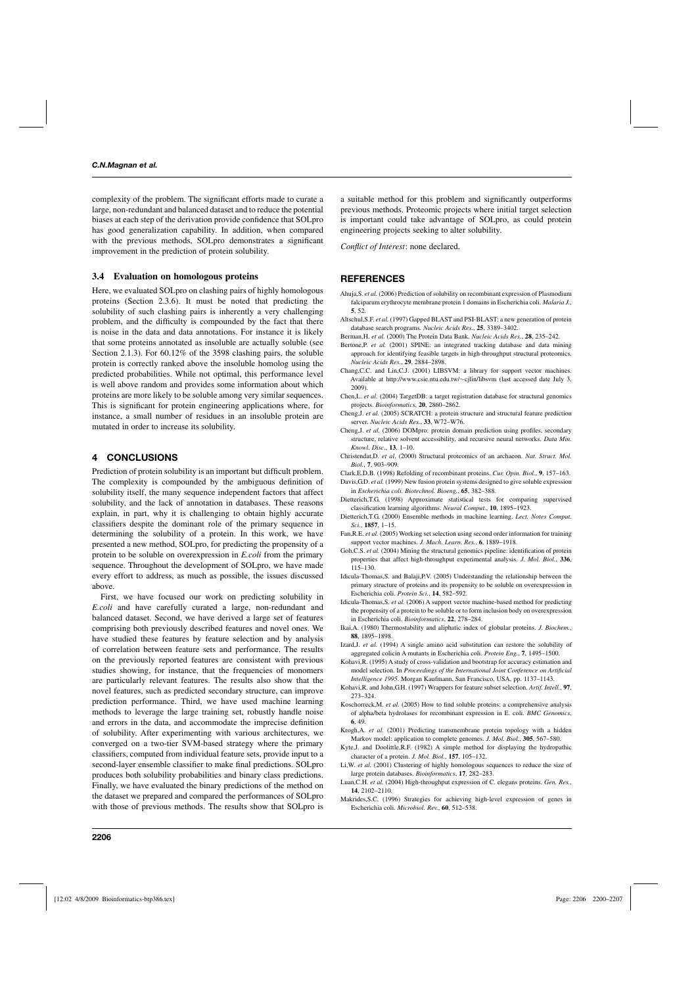complexity of the problem. The significant efforts made to curate a large, non-redundant and balanced dataset and to reduce the potential biases at each step of the derivation provide confidence that SOLpro has good generalization capability. In addition, when compared with the previous methods, SOLpro demonstrates a significant improvement in the prediction of protein solubility.

### **3.4 Evaluation on homologous proteins**

Here, we evaluated SOLpro on clashing pairs of highly homologous proteins (Section 2.3.6). It must be noted that predicting the solubility of such clashing pairs is inherently a very challenging problem, and the difficulty is compounded by the fact that there is noise in the data and data annotations. For instance it is likely that some proteins annotated as insoluble are actually soluble (see Section 2.1.3). For 60.12% of the 3598 clashing pairs, the soluble protein is correctly ranked above the insoluble homolog using the predicted probabilities. While not optimal, this performance level is well above random and provides some information about which proteins are more likely to be soluble among very similar sequences. This is significant for protein engineering applications where, for instance, a small number of residues in an insoluble protein are mutated in order to increase its solubility.

### **4 CONCLUSIONS**

Prediction of protein solubility is an important but difficult problem. The complexity is compounded by the ambiguous definition of solubility itself, the many sequence independent factors that affect solubility, and the lack of annotation in databases. These reasons explain, in part, why it is challenging to obtain highly accurate classifiers despite the dominant role of the primary sequence in determining the solubility of a protein. In this work, we have presented a new method, SOLpro, for predicting the propensity of a protein to be soluble on overexpression in *E.coli* from the primary sequence. Throughout the development of SOLpro, we have made every effort to address, as much as possible, the issues discussed above.

First, we have focused our work on predicting solubility in *E.coli* and have carefully curated a large, non-redundant and balanced dataset. Second, we have derived a large set of features comprising both previously described features and novel ones. We have studied these features by feature selection and by analysis of correlation between feature sets and performance. The results on the previously reported features are consistent with previous studies showing, for instance, that the frequencies of monomers are particularly relevant features. The results also show that the novel features, such as predicted secondary structure, can improve prediction performance. Third, we have used machine learning methods to leverage the large training set, robustly handle noise and errors in the data, and accommodate the imprecise definition of solubility. After experimenting with various architectures, we converged on a two-tier SVM-based strategy where the primary classifiers, computed from individual feature sets, provide input to a second-layer ensemble classifier to make final predictions. SOLpro produces both solubility probabilities and binary class predictions. Finally, we have evaluated the binary predictions of the method on the dataset we prepared and compared the performances of SOLpro with those of previous methods. The results show that SOLpro is

a suitable method for this problem and significantly outperforms previous methods. Proteomic projects where initial target selection is important could take advantage of SOLpro, as could protein engineering projects seeking to alter solubility.

*Conflict of Interest*: none declared.

## **REFERENCES**

- Ahuja,S. *et al.* (2006) Prediction of solubility on recombinant expression of Plasmodium falciparum erythrocyte membrane protein 1 domains in Escherichia coli. *Malaria J.*, **5**, 52.
- Altschul,S.F. *et al.* (1997) Gapped BLAST and PSI-BLAST: a new generation of protein database search programs. *Nucleic Acids Res.*, **25**, 3389–3402.
- Berman,H. *et al.* (2000) The Protein Data Bank. *Nucleic Acids Res.*, **28**, 235–242.
- Bertone,P. *et al.* (2001) SPINE: an integrated tracking database and data mining approach for identifying feasible targets in high-throughput structural proteomics. *Nucleic Acids Res.*, **29**, 2884–2898.
- Chang,C.C. and Lin,C.J. (2001) LIBSVM: a library for support vector machines. Available at [http://www.csie.ntu.edu.](http://www.csie.ntu.edu)tw/∼cjlin/libsvm (last accessed date July 3, 2009).
- Chen,L. *et al.* (2004) TargetDB: a target registration database for structural genomics projects. *Bioinformatics*, **20**, 2860–2862.
- Cheng,J. *et al.* (2005) SCRATCH: a protein structure and structural feature prediction server. *Nucleic Acids Res.*, **33**, W72–W76.
- Cheng,J. *et al.* (2006) DOMpro: protein domain prediction using profiles, secondary structure, relative solvent accessibility, and recursive neural networks. *Data Min. Knowl. Disc.*, **13**, 1–10.
- Christendat,D. *et al*. (2000) Structural proteomics of an archaeon. *Nat. Struct. Mol. Biol.*, **7**, 903–909.
- Clark,E.D.B. (1998) Refolding of recombinant proteins. *Cur. Opin. Biol.*, **9**, 157–163.
- Davis,G.D. *et al.* (1999) New fusion protein systems designed to give soluble expression in *Escherichia coli*. *Biotechnol. Bioeng.*, **65**, 382–388.
- Dietterich,T.G. (1998) Approximate statistical tests for comparing supervised classification learning algorithms. *Neural Comput.*, **10**, 1895–1923.
- Dietterich,T.G. (2000) Ensemble methods in machine learning. *Lect. Notes Comput. Sci.*, **1857**, 1–15.
- Fan, R.E. *et al.* (2005) Working set selection using second order information for training support vector machines. *J. Mach. Learn. Res.*, **6**, 1889–1918.
- Goh, C.S. *et al.* (2004) Mining the structural genomics pipeline: identification of protein properties that affect high-throughput experimental analysis. *J. Mol. Biol.*, **336**, 115–130.
- Idicula-Thomas,S. and Balaji,P.V. (2005) Understanding the relationship between the primary structure of proteins and its propensity to be soluble on overexpression in Escherichia coli. *Protein Sci.*, **14**, 582–592.
- Idicula-Thomas,S. *et al.* (2006) A support vector machine-based method for predicting the propensity of a protein to be soluble or to form inclusion body on overexpression in Escherichia coli. *Bioinformatics*, **22**, 278–284.
- Ikai,A. (1980) Thermostability and aliphatic index of globular proteins. *J. Biochem.*, **88**, 1895–1898.
- Izard,J. *et al.* (1994) A single amino acid substitution can restore the solubility of aggregated colicin A mutants in Escherichia coli. *Protein Eng.*, **7**, 1495–1500.
- Kohavi,R. (1995) A study of cross-validation and bootstrap for accuracy estimation and model selection. In *Proceedings of the International Joint Conference on Artificial Intelligence 1995*. Morgan Kaufmann, San Francisco, USA, pp. 1137–1143.
- Kohavi,R. and John,G.H. (1997) Wrappers for feature subset selection. *Artif. Intell.*, **97**, 273–324.
- Koschorreck,M. *et al.* (2005) How to find soluble proteins: a comprehensive analysis of alpha/beta hydrolases for recombinant expression in E. coli. *BMC Genomics*, **6**, 49.
- Krogh,A. *et al.* (2001) Predicting transmembrane protein topology with a hidden Markov model: application to complete genomes. *J. Mol. Biol.*, **305**, 567–580.
- Kyte,J. and Doolittle,R.F. (1982) A simple method for displaying the hydropathic character of a protein. *J. Mol. Biol.*, **157**, 105–132.
- Li,W. *et al.* (2001) Clustering of highly homologous sequences to reduce the size of large protein databases. *Bioinformatics*, **17**, 282–283.
- Luan,C.H. *et al.* (2004) High-throughput expression of C. elegans proteins. *Gen. Res.*, **14**, 2102–2110.
- Makrides,S.C. (1996) Strategies for achieving high-level expression of genes in Escherichia coli. *Microbiol. Rev.*, **60**, 512–538.